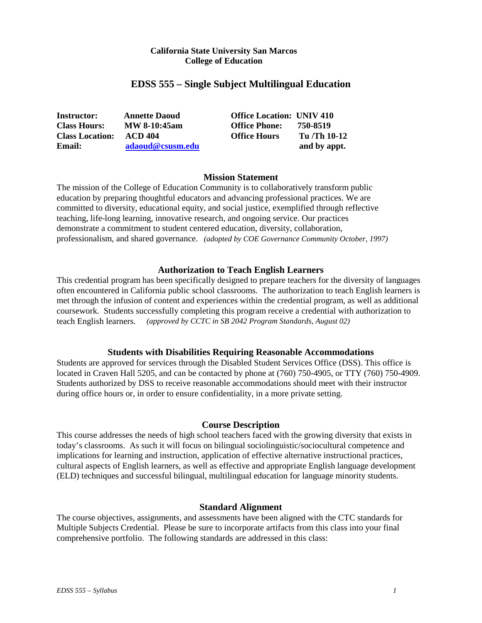### **California State University San Marcos College of Education**

# **EDSS 555 – Single Subject Multilingual Education**

| <b>Instructor:</b>     | <b>Annette Daoud</b> | <b>Office Location: UNIV 410</b> |              |
|------------------------|----------------------|----------------------------------|--------------|
| <b>Class Hours:</b>    | <b>MW 8-10:45am</b>  | <b>Office Phone:</b>             | 750-8519     |
| <b>Class Location:</b> | ACD 404              | <b>Office Hours</b>              | Tu /Th 10-12 |
| Email:                 | adaoud@csusm.edu     |                                  | and by appt. |

# **Mission Statement**

The mission of the College of Education Community is to collaboratively transform public education by preparing thoughtful educators and advancing professional practices. We are committed to diversity, educational equity, and social justice, exemplified through reflective teaching, life-long learning, innovative research, and ongoing service. Our practices demonstrate a commitment to student centered education, diversity, collaboration, professionalism, and shared governance. *(adopted by COE Governance Community October, 1997)*

### **Authorization to Teach English Learners**

This credential program has been specifically designed to prepare teachers for the diversity of languages often encountered in California public school classrooms. The authorization to teach English learners is met through the infusion of content and experiences within the credential program, as well as additional coursework. Students successfully completing this program receive a credential with authorization to teach English learners. *(approved by CCTC in SB 2042 Program Standards, August 02)*

### **Students with Disabilities Requiring Reasonable Accommodations**

Students are approved for services through the Disabled Student Services Office (DSS). This office is located in Craven Hall 5205, and can be contacted by phone at (760) 750-4905, or TTY (760) 750-4909. Students authorized by DSS to receive reasonable accommodations should meet with their instructor during office hours or, in order to ensure confidentiality, in a more private setting.

### **Course Description**

This course addresses the needs of high school teachers faced with the growing diversity that exists in today's classrooms. As such it will focus on bilingual sociolinguistic/sociocultural competence and implications for learning and instruction, application of effective alternative instructional practices, cultural aspects of English learners, as well as effective and appropriate English language development (ELD) techniques and successful bilingual, multilingual education for language minority students.

### **Standard Alignment**

The course objectives, assignments, and assessments have been aligned with the CTC standards for Multiple Subjects Credential. Please be sure to incorporate artifacts from this class into your final comprehensive portfolio. The following standards are addressed in this class: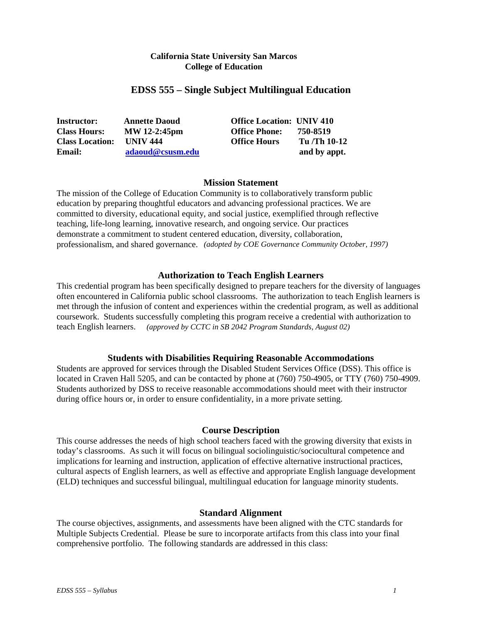## **California State University San Marcos College of Education**

# **EDSS 555 – Single Subject Multilingual Education**

| <b>Instructor:</b>     | <b>Annette Daoud</b> | <b>Office Location: UNIV 410</b> |              |
|------------------------|----------------------|----------------------------------|--------------|
| <b>Class Hours:</b>    | MW 12-2:45pm         | <b>Office Phone:</b>             | 750-8519     |
| <b>Class Location:</b> | <b>UNIV 444</b>      | <b>Office Hours</b>              | Tu /Th 10-12 |
| Email:                 | adaoud@csusm.edu     |                                  | and by appt. |

### **Mission Statement**

The mission of the College of Education Community is to collaboratively transform public education by preparing thoughtful educators and advancing professional practices. We are committed to diversity, educational equity, and social justice, exemplified through reflective teaching, life-long learning, innovative research, and ongoing service. Our practices demonstrate a commitment to student centered education, diversity, collaboration, professionalism, and shared governance. *(adopted by COE Governance Community October, 1997)*

### **Authorization to Teach English Learners**

This credential program has been specifically designed to prepare teachers for the diversity of languages often encountered in California public school classrooms. The authorization to teach English learners is met through the infusion of content and experiences within the credential program, as well as additional coursework. Students successfully completing this program receive a credential with authorization to teach English learners. *(approved by CCTC in SB 2042 Program Standards, August 02)*

### **Students with Disabilities Requiring Reasonable Accommodations**

Students are approved for services through the Disabled Student Services Office (DSS). This office is located in Craven Hall 5205, and can be contacted by phone at (760) 750-4905, or TTY (760) 750-4909. Students authorized by DSS to receive reasonable accommodations should meet with their instructor during office hours or, in order to ensure confidentiality, in a more private setting.

### **Course Description**

This course addresses the needs of high school teachers faced with the growing diversity that exists in today's classrooms. As such it will focus on bilingual sociolinguistic/sociocultural competence and implications for learning and instruction, application of effective alternative instructional practices, cultural aspects of English learners, as well as effective and appropriate English language development (ELD) techniques and successful bilingual, multilingual education for language minority students.

### **Standard Alignment**

The course objectives, assignments, and assessments have been aligned with the CTC standards for Multiple Subjects Credential. Please be sure to incorporate artifacts from this class into your final comprehensive portfolio. The following standards are addressed in this class: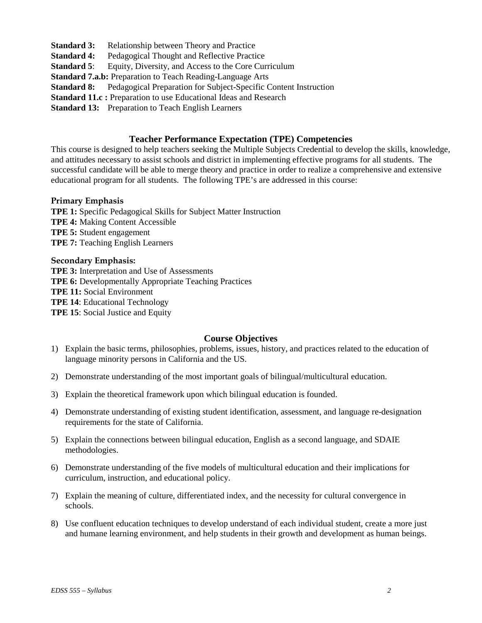- **Standard 3:** Relationship between Theory and Practice
- **Standard 4:** Pedagogical Thought and Reflective Practice
- **Standard 5:** Equity, Diversity, and Access to the Core Curriculum
- **Standard 7.a.b:** Preparation to Teach Reading-Language Arts
- **Standard 8:** Pedagogical Preparation for Subject-Specific Content Instruction
- **Standard 11.c : Preparation to use Educational Ideas and Research**

**Standard 13:** Preparation to Teach English Learners

# **Teacher Performance Expectation (TPE) Competencies**

This course is designed to help teachers seeking the Multiple Subjects Credential to develop the skills, knowledge, and attitudes necessary to assist schools and district in implementing effective programs for all students. The successful candidate will be able to merge theory and practice in order to realize a comprehensive and extensive educational program for all students. The following TPE's are addressed in this course:

# **Primary Emphasis**

**TPE 1:** Specific Pedagogical Skills for Subject Matter Instruction **TPE 4:** Making Content Accessible **TPE 5:** Student engagement **TPE 7:** Teaching English Learners

# **Secondary Emphasis:**

**TPE 3:** Interpretation and Use of Assessments **TPE 6:** Developmentally Appropriate Teaching Practices **TPE 11:** Social Environment **TPE 14**: Educational Technology **TPE 15**: Social Justice and Equity

# **Course Objectives**

- 1) Explain the basic terms, philosophies, problems, issues, history, and practices related to the education of language minority persons in California and the US.
- 2) Demonstrate understanding of the most important goals of bilingual/multicultural education.
- 3) Explain the theoretical framework upon which bilingual education is founded.
- 4) Demonstrate understanding of existing student identification, assessment, and language re-designation requirements for the state of California.
- 5) Explain the connections between bilingual education, English as a second language, and SDAIE methodologies.
- 6) Demonstrate understanding of the five models of multicultural education and their implications for curriculum, instruction, and educational policy.
- 7) Explain the meaning of culture, differentiated index, and the necessity for cultural convergence in schools.
- 8) Use confluent education techniques to develop understand of each individual student, create a more just and humane learning environment, and help students in their growth and development as human beings.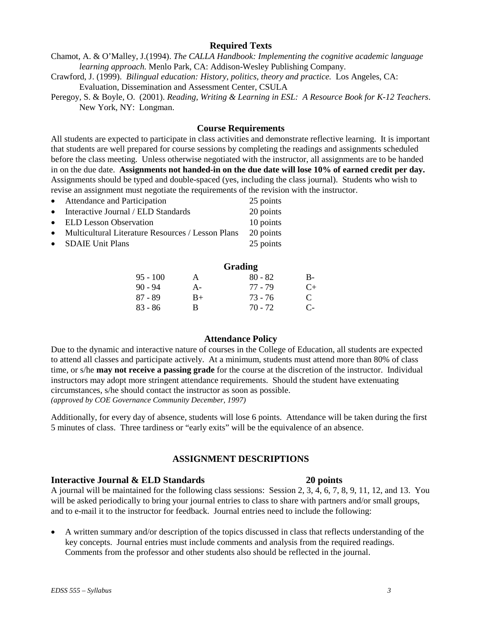# Comments from the professor and other students also should be reflected in the journal.

# **Interactive Journal & ELD Standards 20 points**

A journal will be maintained for the following class sessions: Session 2, 3, 4, 6, 7, 8, 9, 11, 12, and 13. You will be asked periodically to bring your journal entries to class to share with partners and/or small groups, and to e-mail it to the instructor for feedback. Journal entries need to include the following:

• A written summary and/or description of the topics discussed in class that reflects understanding of the key concepts. Journal entries must include comments and analysis from the required readings.

**ASSIGNMENT DESCRIPTIONS**

# **Attendance Policy**

**Grading**

95 - 100 A 80 - 82 B-90 - 94 A- 77 - 79 C+  $87 - 89$  B+ 73 - 76 C<br>  $83 - 86$  B 70 - 72 C-

 $83 - 86$  B 70 - 72

Due to the dynamic and interactive nature of courses in the College of Education, all students are expected to attend all classes and participate actively. At a minimum, students must attend more than 80% of class time, or s/he **may not receive a passing grade** for the course at the discretion of the instructor. Individual

instructors may adopt more stringent attendance requirements. Should the student have extenuating circumstances, s/he should contact the instructor as soon as possible. *(approved by COE Governance Community December, 1997)*

Additionally, for every day of absence, students will lose 6 points. Attendance will be taken during the first 5 minutes of class. Three tardiness or "early exits" will be the equivalence of an absence.

# **Course Requirements**

Peregoy, S. & Boyle, O. (2001). *Reading, Writing & Learning in ESL: A Resource Book for K-12 Teachers*.

**Required Texts** Chamot, A. & O'Malley, J.(1994). *The CALLA Handbook: Implementing the cognitive academic language*

*learning approach.* Menlo Park, CA: Addison-Wesley Publishing Company. Crawford, J. (1999). *Bilingual education: History, politics, theory and practice.* Los Angeles, CA:

All students are expected to participate in class activities and demonstrate reflective learning. It is important that students are well prepared for course sessions by completing the readings and assignments scheduled before the class meeting. Unless otherwise negotiated with the instructor, all assignments are to be handed in on the due date. **Assignments not handed-in on the due date will lose 10% of earned credit per day.** Assignments should be typed and double-spaced (yes, including the class journal). Students who wish to he instructor.

|           | revise an assignment must negotiate the requirements of the revision with the |  |           |  |
|-----------|-------------------------------------------------------------------------------|--|-----------|--|
| $\bullet$ | <b>Attendance and Participation</b>                                           |  | 25 points |  |
|           | • Interactive Journal / $ELD$ Standards                                       |  | 20 points |  |

Evaluation, Dissemination and Assessment Center, CSULA

| $\bullet$ | Attendance and Participation                  | 25 points |
|-----------|-----------------------------------------------|-----------|
|           | $\bullet$ Interactive Journal / ELD Standards | 20 points |
|           | • ELD Lesson Observation                      | 10 points |

- Multicultural Literature Resources / Lesson Plans 20 points
- SDAIE Unit Plans 25 points

New York, NY: Longman.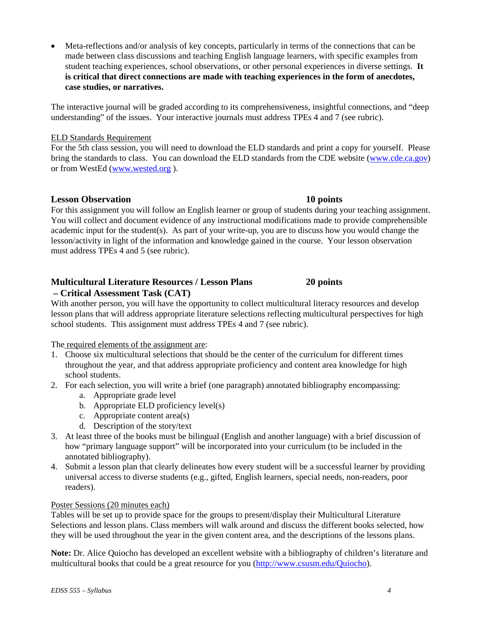• Meta-reflections and/or analysis of key concepts, particularly in terms of the connections that can be made between class discussions and teaching English language learners, with specific examples from student teaching experiences, school observations, or other personal experiences in diverse settings. **It is critical that direct connections are made with teaching experiences in the form of anecdotes, case studies, or narratives.**

The interactive journal will be graded according to its comprehensiveness, insightful connections, and "deep understanding" of the issues. Your interactive journals must address TPEs 4 and 7 (see rubric).

# ELD Standards Requirement

For the 5th class session, you will need to download the ELD standards and print a copy for yourself. Please bring the standards to class. You can download the ELD standards from the CDE website [\(www.cde.ca.gov\)](http://www.cde.ca.gov/) or from WestEd [\(www.wested.org](http://www.wested.org/) ).

# **Lesson Observation 10 points**

For this assignment you will follow an English learner or group of students during your teaching assignment. You will collect and document evidence of any instructional modifications made to provide comprehensible academic input for the student(s). As part of your write-up, you are to discuss how you would change the lesson/activity in light of the information and knowledge gained in the course. Your lesson observation must address TPEs 4 and 5 (see rubric).

# **Multicultural Literature Resources / Lesson Plans 20 points**

# **– Critical Assessment Task (CAT)**

With another person, you will have the opportunity to collect multicultural literacy resources and develop lesson plans that will address appropriate literature selections reflecting multicultural perspectives for high school students. This assignment must address TPEs 4 and 7 (see rubric).

The required elements of the assignment are:

- 1. Choose six multicultural selections that should be the center of the curriculum for different times throughout the year, and that address appropriate proficiency and content area knowledge for high school students.
- 2. For each selection, you will write a brief (one paragraph) annotated bibliography encompassing:
	- a. Appropriate grade level
	- b. Appropriate ELD proficiency level(s)
	- c. Appropriate content area(s)
	- d. Description of the story/text
- 3. At least three of the books must be bilingual (English and another language) with a brief discussion of how "primary language support" will be incorporated into your curriculum (to be included in the annotated bibliography).
- 4. Submit a lesson plan that clearly delineates how every student will be a successful learner by providing universal access to diverse students (e.g., gifted, English learners, special needs, non-readers, poor readers).

### Poster Sessions (20 minutes each)

Tables will be set up to provide space for the groups to present/display their Multicultural Literature Selections and lesson plans. Class members will walk around and discuss the different books selected, how they will be used throughout the year in the given content area, and the descriptions of the lessons plans.

**Note:** Dr. Alice Quiocho has developed an excellent website with a bibliography of children's literature and multicultural books that could be a great resource for you [\(http://www.csusm.edu/Quiocho\)](http://www.csusm.edu/Quiocho).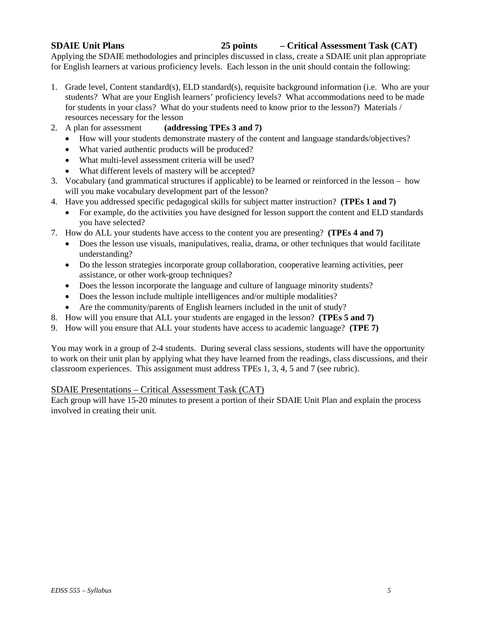# **SDAIE Unit Plans 25 points – Critical Assessment Task (CAT)**

Applying the SDAIE methodologies and principles discussed in class, create a SDAIE unit plan appropriate for English learners at various proficiency levels. Each lesson in the unit should contain the following:

- 1. Grade level, Content standard(s), ELD standard(s), requisite background information (i.e. Who are your students? What are your English learners' proficiency levels? What accommodations need to be made for students in your class? What do your students need to know prior to the lesson?) Materials / resources necessary for the lesson
- 2. A plan for assessment **(addressing TPEs 3 and 7)**
	- How will your students demonstrate mastery of the content and language standards/objectives?
	- What varied authentic products will be produced?
	- What multi-level assessment criteria will be used?
	- What different levels of mastery will be accepted?
- 3. Vocabulary (and grammatical structures if applicable) to be learned or reinforced in the lesson how will you make vocabulary development part of the lesson?
- 4. Have you addressed specific pedagogical skills for subject matter instruction? **(TPEs 1 and 7)**
	- For example, do the activities you have designed for lesson support the content and ELD standards you have selected?
- 7. How do ALL your students have access to the content you are presenting? **(TPEs 4 and 7)**
	- Does the lesson use visuals, manipulatives, realia, drama, or other techniques that would facilitate understanding?
	- Do the lesson strategies incorporate group collaboration, cooperative learning activities, peer assistance, or other work-group techniques?
	- Does the lesson incorporate the language and culture of language minority students?
	- Does the lesson include multiple intelligences and/or multiple modalities?
	- Are the community/parents of English learners included in the unit of study?
- 8. How will you ensure that ALL your students are engaged in the lesson? **(TPEs 5 and 7)**
- 9. How will you ensure that ALL your students have access to academic language? **(TPE 7)**

You may work in a group of 2-4 students. During several class sessions, students will have the opportunity to work on their unit plan by applying what they have learned from the readings, class discussions, and their classroom experiences. This assignment must address TPEs 1, 3, 4, 5 and 7 (see rubric).

### SDAIE Presentations – Critical Assessment Task (CAT)

Each group will have 15-20 minutes to present a portion of their SDAIE Unit Plan and explain the process involved in creating their unit*.*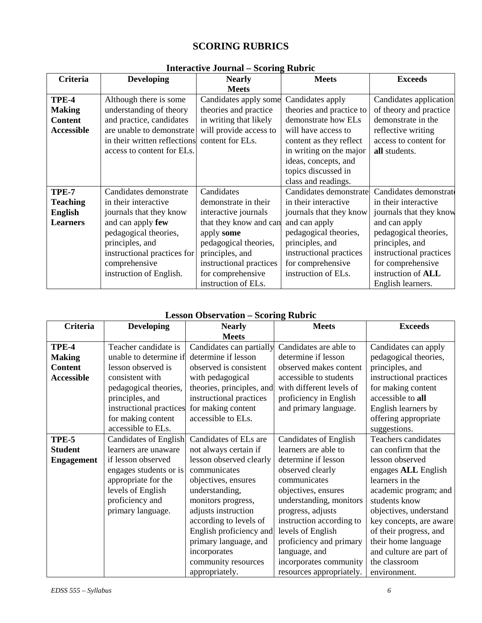# **SCORING RUBRICS**

|                   | $\frac{1}{2}$ and $\frac{1}{2}$ and $\frac{1}{2}$ and $\frac{1}{2}$ and $\frac{1}{2}$ and $\frac{1}{2}$ and $\frac{1}{2}$ |                         |                          |                         |
|-------------------|---------------------------------------------------------------------------------------------------------------------------|-------------------------|--------------------------|-------------------------|
| Criteria          | <b>Developing</b>                                                                                                         | <b>Nearly</b>           | <b>Meets</b>             | <b>Exceeds</b>          |
|                   |                                                                                                                           | <b>Meets</b>            |                          |                         |
| TPE-4             | Although there is some                                                                                                    | Candidates apply some   | Candidates apply         | Candidates application  |
| <b>Making</b>     | understanding of theory                                                                                                   | theories and practice   | theories and practice to | of theory and practice  |
| <b>Content</b>    | and practice, candidates                                                                                                  | in writing that likely  | demonstrate how ELs      | demonstrate in the      |
| <b>Accessible</b> | are unable to demonstrate                                                                                                 | will provide access to  | will have access to      | reflective writing      |
|                   | in their written reflections                                                                                              | content for ELs.        | content as they reflect  | access to content for   |
|                   | access to content for ELs.                                                                                                |                         | in writing on the major  | all students.           |
|                   |                                                                                                                           |                         | ideas, concepts, and     |                         |
|                   |                                                                                                                           |                         | topics discussed in      |                         |
|                   |                                                                                                                           |                         | class and readings.      |                         |
| TPE-7             | Candidates demonstrate                                                                                                    | Candidates              | Candidates demonstrate   | Candidates demonstrate  |
| <b>Teaching</b>   | in their interactive                                                                                                      | demonstrate in their    | in their interactive     | in their interactive    |
| <b>English</b>    | journals that they know                                                                                                   | interactive journals    | journals that they know  | journals that they know |
| <b>Learners</b>   | and can apply few                                                                                                         | that they know and can  | and can apply            | and can apply           |
|                   | pedagogical theories,                                                                                                     | apply some              | pedagogical theories,    | pedagogical theories,   |
|                   | principles, and                                                                                                           | pedagogical theories,   | principles, and          | principles, and         |
|                   | instructional practices for                                                                                               | principles, and         | instructional practices  | instructional practices |
|                   | comprehensive                                                                                                             | instructional practices | for comprehensive        | for comprehensive       |
|                   | instruction of English.                                                                                                   | for comprehensive       | instruction of ELs.      | instruction of ALL      |
|                   |                                                                                                                           | instruction of ELs.     |                          | English learners.       |

# **Interactive Journal – Scoring Rubric**

# **Lesson Observation – Scoring Rubric**

| <b>Criteria</b>   | <b>Developing</b>       | <b>Nearly</b>             | <b>Meets</b>                 | <b>Exceeds</b>          |
|-------------------|-------------------------|---------------------------|------------------------------|-------------------------|
|                   |                         | <b>Meets</b>              |                              |                         |
| TPE-4             | Teacher candidate is    | Candidates can partially  | Candidates are able to       | Candidates can apply    |
| <b>Making</b>     | unable to determine if  | determine if lesson       | determine if lesson          | pedagogical theories,   |
| <b>Content</b>    | lesson observed is      | observed is consistent    | observed makes content       | principles, and         |
| <b>Accessible</b> | consistent with         | with pedagogical          | accessible to students       | instructional practices |
|                   | pedagogical theories,   | theories, principles, and | with different levels of     | for making content      |
|                   | principles, and         | instructional practices   | proficiency in English       | accessible to all       |
|                   | instructional practices | for making content        | and primary language.        | English learners by     |
|                   | for making content      | accessible to ELs.        |                              | offering appropriate    |
|                   | accessible to ELs.      |                           |                              | suggestions.            |
| TPE-5             | Candidates of English   | Candidates of ELs are     | <b>Candidates of English</b> | Teachers candidates     |
| <b>Student</b>    | learners are unaware    | not always certain if     | learners are able to         | can confirm that the    |
| <b>Engagement</b> | if lesson observed      | lesson observed clearly   | determine if lesson          | lesson observed         |
|                   | engages students or is  | communicates              | observed clearly             | engages ALL English     |
|                   | appropriate for the     | objectives, ensures       | communicates                 | learners in the         |
|                   | levels of English       | understanding,            | objectives, ensures          | academic program; and   |
|                   | proficiency and         | monitors progress,        | understanding, monitors      | students know           |
|                   | primary language.       | adjusts instruction       | progress, adjusts            | objectives, understand  |
|                   |                         | according to levels of    | instruction according to     | key concepts, are aware |
|                   |                         | English proficiency and   | levels of English            | of their progress, and  |
|                   |                         | primary language, and     | proficiency and primary      | their home language     |
|                   |                         | incorporates              | language, and                | and culture are part of |
|                   |                         | community resources       | incorporates community       | the classroom           |
|                   |                         | appropriately.            | resources appropriately.     | environment.            |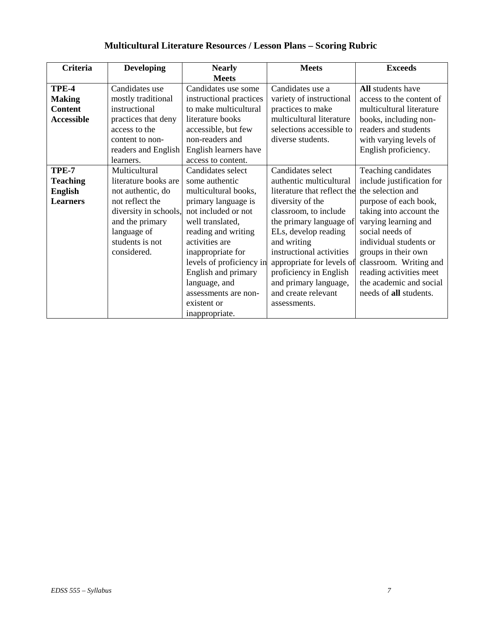| <b>Criteria</b>   | <b>Developing</b>     | <b>Nearly</b>            | <b>Meets</b>                | <b>Exceeds</b>            |
|-------------------|-----------------------|--------------------------|-----------------------------|---------------------------|
|                   |                       | <b>Meets</b>             |                             |                           |
| TPE-4             | Candidates use        | Candidates use some      | Candidates use a            | All students have         |
| <b>Making</b>     | mostly traditional    | instructional practices  | variety of instructional    | access to the content of  |
| <b>Content</b>    | instructional         | to make multicultural    | practices to make           | multicultural literature  |
| <b>Accessible</b> | practices that deny   | literature books         | multicultural literature    | books, including non-     |
|                   | access to the         | accessible, but few      | selections accessible to    | readers and students      |
|                   | content to non-       | non-readers and          | diverse students.           | with varying levels of    |
|                   | readers and English   | English learners have    |                             | English proficiency.      |
|                   | learners.             | access to content.       |                             |                           |
| TPE-7             | Multicultural         | Candidates select        | Candidates select           | Teaching candidates       |
| <b>Teaching</b>   | literature books are  | some authentic           | authentic multicultural     | include justification for |
| <b>English</b>    | not authentic, do     | multicultural books,     | literature that reflect the | the selection and         |
| <b>Learners</b>   | not reflect the       | primary language is      | diversity of the            | purpose of each book,     |
|                   | diversity in schools, | not included or not      | classroom, to include       | taking into account the   |
|                   | and the primary       | well translated,         | the primary language of     | varying learning and      |
|                   | language of           | reading and writing      | ELs, develop reading        | social needs of           |
|                   | students is not       | activities are           | and writing                 | individual students or    |
|                   | considered.           | inappropriate for        | instructional activities    | groups in their own       |
|                   |                       | levels of proficiency in | appropriate for levels of   | classroom. Writing and    |
|                   |                       | English and primary      | proficiency in English      | reading activities meet   |
|                   |                       | language, and            | and primary language,       | the academic and social   |
|                   |                       | assessments are non-     | and create relevant         | needs of all students.    |
|                   |                       | existent or              | assessments.                |                           |
|                   |                       | inappropriate.           |                             |                           |

# **Multicultural Literature Resources / Lesson Plans – Scoring Rubric**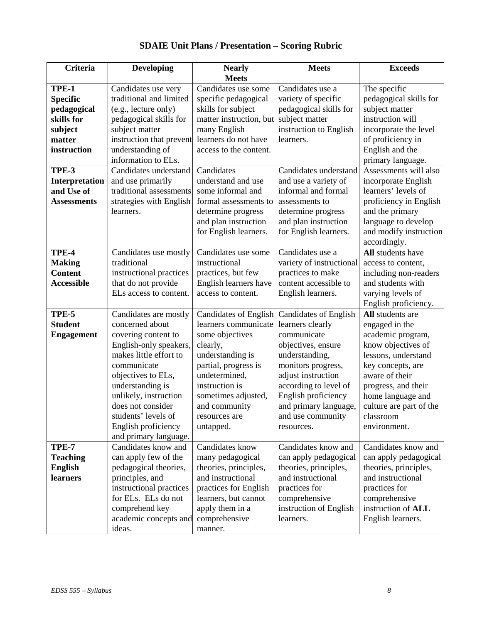| <b>Criteria</b>    | <b>Developing</b>                        | <b>Nearly</b>                                 | <b>Meets</b>                                     | <b>Exceeds</b>                           |
|--------------------|------------------------------------------|-----------------------------------------------|--------------------------------------------------|------------------------------------------|
|                    |                                          | <b>Meets</b>                                  |                                                  |                                          |
| TPE-1              | Candidates use very                      | Candidates use some                           | Candidates use a                                 | The specific                             |
| <b>Specific</b>    | traditional and limited                  | specific pedagogical                          | variety of specific                              | pedagogical skills for                   |
| pedagogical        | (e.g., lecture only)                     | skills for subject                            | pedagogical skills for                           | subject matter                           |
| skills for         | pedagogical skills for                   | matter instruction, but                       | subject matter                                   | instruction will                         |
| subject            | subject matter                           | many English                                  | instruction to English                           | incorporate the level                    |
| matter             | instruction that prevent                 | learners do not have                          | learners.                                        | of proficiency in                        |
| instruction        | understanding of                         | access to the content.                        |                                                  | English and the                          |
|                    | information to ELs.                      |                                               |                                                  | primary language.                        |
| TPE-3              | Candidates understand                    | Candidates                                    | Candidates understand                            | Assessments will also                    |
| Interpretation     | and use primarily                        | understand and use                            | and use a variety of                             | incorporate English                      |
| and Use of         | traditional assessments                  | some informal and                             | informal and formal                              | learners' levels of                      |
| <b>Assessments</b> | strategies with English                  | formal assessments to                         | assessments to                                   | proficiency in English                   |
|                    | learners.                                | determine progress                            | determine progress                               | and the primary                          |
|                    |                                          | and plan instruction                          | and plan instruction                             | language to develop                      |
|                    |                                          | for English learners.                         | for English learners.                            | and modify instruction                   |
|                    |                                          |                                               |                                                  | accordingly.                             |
| TPE-4              | Candidates use mostly                    | Candidates use some                           | Candidates use a                                 | All students have                        |
| <b>Making</b>      | traditional                              | instructional                                 | variety of instructional                         | access to content,                       |
| <b>Content</b>     | instructional practices                  | practices, but few                            | practices to make                                | including non-readers                    |
| <b>Accessible</b>  | that do not provide                      | English learners have                         | content accessible to                            | and students with                        |
|                    | ELs access to content.                   | access to content.                            | English learners.                                | varying levels of                        |
| TPE-5              |                                          |                                               |                                                  | English proficiency.<br>All students are |
| <b>Student</b>     | Candidates are mostly<br>concerned about | Candidates of English<br>learners communicate | <b>Candidates of English</b><br>learners clearly |                                          |
| <b>Engagement</b>  | covering content to                      | some objectives                               | communicate                                      | engaged in the<br>academic program,      |
|                    | English-only speakers,                   | clearly,                                      | objectives, ensure                               | know objectives of                       |
|                    | makes little effort to                   | understanding is                              | understanding,                                   | lessons, understand                      |
|                    | communicate                              | partial, progress is                          | monitors progress,                               | key concepts, are                        |
|                    | objectives to ELs,                       | undetermined,                                 | adjust instruction                               | aware of their                           |
|                    | understanding is                         | instruction is                                | according to level of                            | progress, and their                      |
|                    | unlikely, instruction                    | sometimes adjusted,                           | English proficiency                              | home language and                        |
|                    | does not consider                        | and community                                 | and primary language,                            | culture are part of the                  |
|                    | students' levels of                      | resources are                                 | and use community                                | classroom                                |
|                    | English proficiency                      | untapped.                                     | resources.                                       | environment.                             |
|                    | and primary language.                    |                                               |                                                  |                                          |
| TPE-7              | Candidates know and                      | Candidates know                               | Candidates know and                              | Candidates know and                      |
| <b>Teaching</b>    | can apply few of the                     | many pedagogical                              | can apply pedagogical                            | can apply pedagogical                    |
| <b>English</b>     | pedagogical theories,                    | theories, principles,                         | theories, principles,                            | theories, principles,                    |
| learners           | principles, and                          | and instructional                             | and instructional                                | and instructional                        |
|                    | instructional practices                  | practices for English                         | practices for                                    | practices for                            |
|                    | for ELs. ELs do not                      | learners, but cannot                          | comprehensive                                    | comprehensive                            |
|                    | comprehend key                           | apply them in a                               | instruction of English                           | instruction of ALL                       |
|                    | academic concepts and                    | comprehensive                                 | learners.                                        | English learners.                        |
|                    | ideas.                                   | manner.                                       |                                                  |                                          |

# **SDAIE Unit Plans / Presentation – Scoring Rubric**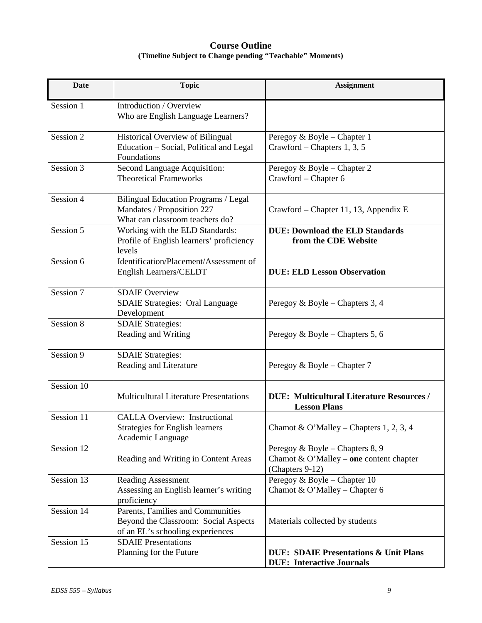# **Course Outline (Timeline Subject to Change pending "Teachable" Moments)**

| <b>Date</b> | <b>Topic</b>                                                                                                  | <b>Assignment</b>                                                                             |
|-------------|---------------------------------------------------------------------------------------------------------------|-----------------------------------------------------------------------------------------------|
| Session 1   | Introduction / Overview<br>Who are English Language Learners?                                                 |                                                                                               |
| Session 2   | Historical Overview of Bilingual<br>Education - Social, Political and Legal<br>Foundations                    | Peregoy & Boyle – Chapter 1<br>Crawford – Chapters 1, 3, 5                                    |
| Session 3   | Second Language Acquisition:<br><b>Theoretical Frameworks</b>                                                 | Peregoy & Boyle – Chapter 2<br>Crawford - Chapter 6                                           |
| Session 4   | Bilingual Education Programs / Legal<br>Mandates / Proposition 227<br>What can classroom teachers do?         | Crawford – Chapter 11, 13, Appendix E                                                         |
| Session 5   | Working with the ELD Standards:<br>Profile of English learners' proficiency<br>levels                         | <b>DUE: Download the ELD Standards</b><br>from the CDE Website                                |
| Session 6   | Identification/Placement/Assessment of<br>English Learners/CELDT                                              | <b>DUE: ELD Lesson Observation</b>                                                            |
| Session 7   | <b>SDAIE Overview</b><br><b>SDAIE Strategies: Oral Language</b><br>Development                                | Peregoy & Boyle – Chapters 3, 4                                                               |
| Session 8   | <b>SDAIE Strategies:</b><br>Reading and Writing                                                               | Peregoy & Boyle – Chapters 5, 6                                                               |
| Session 9   | <b>SDAIE Strategies:</b><br>Reading and Literature                                                            | Peregoy & Boyle – Chapter 7                                                                   |
| Session 10  | <b>Multicultural Literature Presentations</b>                                                                 | <b>DUE: Multicultural Literature Resources /</b><br><b>Lesson Plans</b>                       |
| Session 11  | <b>CALLA Overview: Instructional</b><br><b>Strategies for English learners</b><br>Academic Language           | Chamot & O'Malley – Chapters 1, 2, 3, 4                                                       |
| Session 12  | Reading and Writing in Content Areas                                                                          | Peregoy & Boyle – Chapters 8, 9<br>Chamot & O'Malley – one content chapter<br>(Chapters 9-12) |
| Session 13  | <b>Reading Assessment</b><br>Assessing an English learner's writing<br>proficiency                            | Peregoy & Boyle - Chapter 10<br>Chamot & O'Malley - Chapter 6                                 |
| Session 14  | Parents, Families and Communities<br>Beyond the Classroom: Social Aspects<br>of an EL's schooling experiences | Materials collected by students                                                               |
| Session 15  | <b>SDAIE</b> Presentations<br>Planning for the Future                                                         | <b>DUE: SDAIE Presentations &amp; Unit Plans</b><br><b>DUE: Interactive Journals</b>          |